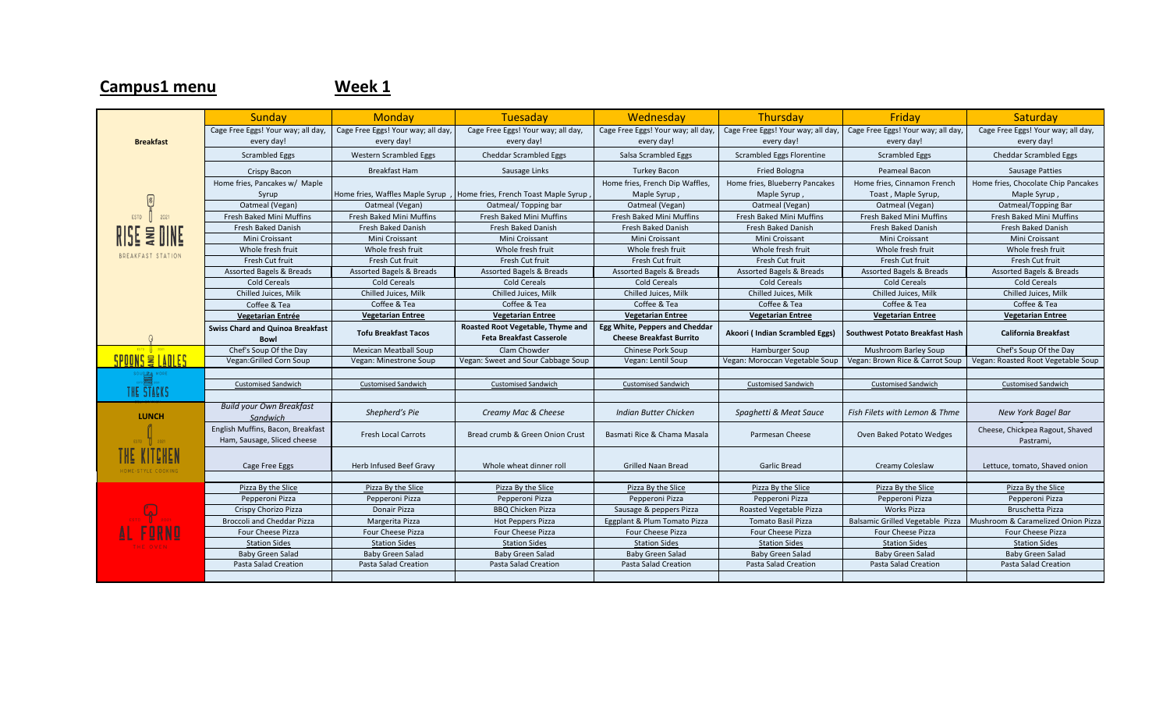## Sunday | Monday | Tuesaday | Wednesday | Thursday | Friday | Saturday Cage Free Eggs! Your way; all day, Cage Free Eggs! Your way; all day, Cage Free Eggs! Your way; all day, Cage Free Eggs! Your way; all day, Cage Free Eggs! Your way; all day, Cage Free Eggs! Your way; all day, Cage Free Eggs! Your way; all day, **Breakfast** every day! every day! every day! every day! every day! every day! every day! Scrambled Eggs | Western Scrambled Eggs | Cheddar Scrambled Eggs | Salsa Scrambled Eggs | Scrambled Eggs Florentine | Scrambled Eggs | Cheddar Scrambled Eggs Crispy Bacon | Breakfast Ham | Sausage Links | Turkey Bacon | Fried Bologna | Peameal Bacon | Sausage Patties Home fries, Pancakes w/ Maple Home fries, French Dip Waffles, Home fries, Blueberry Pancakes Home fries, Cinnamon French Home fries, Chocolate Chip Pancakes Syrup Home fries, Waffles Maple Syrup , Home fries, French Toast Maple Syrup , Maple Syrup , Maple Syrup , Toast , Maple Syrup, Maple Syrup , Oatmeal (Vegan) Oatmeal (Vegan) Oatmeal/ Topping bar Oatmeal (Vegan) Oatmeal (Vegan) Oatmeal (Vegan) Oatmeal/Topping Bar ESTD Fresh Baked Mini Muffins | Fresh Baked Mini Muffins | Fresh Baked Mini Muffins | Fresh Baked Mini Muffins | Fresh Baked Mini Muffins | Fresh Baked Mini Muffins | Fresh Baked Mini Muffins | Fresh Baked Mini Muffins | Fresh RISE **WIN** Fresh Baked Danish Fresh Baked Danish Fresh Baked Danish Fresh Baked Danish Fresh Baked Danish Fresh Baked Danish Fresh Baked Danish Mini Croissant | Mini Croissant | Mini Croissant | Mini Croissant | Mini Croissant | Mini Croissant | Mini Croissant Whole fresh fruit | Whole fresh fruit | Whole fresh fruit | Whole fresh fruit | Whole fresh fruit | Whole fresh fruit | Whole fresh fruit | Whole fresh fruit BREAKFAST STATION Fresh Cut fruit Fresh Cut fruit Fresh Cut fruit Fresh Cut fruit Fresh Cut fruit Fresh Cut fruit Fresh Cut fruit Assorted Bagels & Breads Assorted Bagels & Breads Assorted Bagels & Breads Assorted Bagels & Breads Assorted Bagels & Breads Assorted Bagels & Breads Assorted Bagels & Breads Assorted Bagels & Breads Assorted Bagels & Brea Cold Cereals Cold Cereals Cold Cereals Cold Cereals Cold Cereals Cold Cereals Cold Cereals Chilled Juices, Milk Chilled Juices, Milk Chilled Juices, Milk Chilled Juices, Milk Chilled Juices, Milk Chilled Juices, Milk Chilled Juices, Milk Coffee & Tea Coffee & Tea Coffee & Tea Coffee & Tea Coffee & Tea Coffee & Tea Coffee & Tea **Vegetarian Entree Vegetarian Entrée Vegetarian Entree Vegetarian Entree Vegetarian Entree Vegetarian Entree Vegetarian Entree Vegetarian Entree Swiss Chard and Quinoa Breakfast Roasted Root Vegetable, Thyme and Egg White, Peppers and Cheddar Bowl Tofu Breakfast Tacos Cheese Breakfast Burrito Akoori ( Indian Scrambled Eggs) Southwest Potato Breakfast Hash California Breakfast Feta Breakfast Casserole** Chef's Soup Of the Day Mexican Meatball Soup Clam Chowder Chinese Pork Soup Hamburger Soup Mushroom Barley Soup Chef's Soup Of the Day  $SPOONG \geq IAMIEG$ Vegan:Grilled Corn Soup Vegan: Minestrone Soup Vegan: Sweet and Sour Cabbage Soup Vegan: Lentil Soup Vegan: Moroccan Vegetable Soup Vegan: Brown Rice & Carrot Soup Vegan: Roasted Root Vegetable Soup Customised Sandwich Customised Sandwich Customised Sandwich Customised Sandwich Customised Sandwich Customised Sandwich Customised Sandwich THE STACKS *Build your Own Breakfast Sandwich Shepherd's Pie Creamy Mac & Cheese Indian Butter Chicken Spaghetti & Meat Sauce Fish Filets with Lemon & Thme New York Bagel Bar* **LUNCH** Assorted bagels, Assorted Cream English Muffins, Bacon, Breakfast Cheese, Chickpea Ragout, Shaved Ham, Sausage, Sliced cheese Fresh Local Carrots Bread crumb & Green Onion Crust Basmati Rice & Chama Masala Parmesan Cheese Oven Baked Potato Wedges Pastrami, Cage Free Eggs **Herb Infused Beef Gravy | Whole wheat dinner roll** Grilled Naan Bread | Garlic Bread | Creamy Coleslaw | Lettuce, tomato, Shaved onion Pizza By the Slice Pizza By the Slice Pizza By the Slice Pizza By the Slice Pizza By the Slice Pizza By the Slice Pizza By the Slice Pizza By the Slice Pizza By the Slice Pizza By the Slice Pizza By the Slice Pizza By the Pepperoni Pizza | Pepperoni Pizza | Pepperoni Pizza | Pepperoni Pizza | Pepperoni Pizza | Pepperoni Pizza | Pepperoni Pizza Crispy Chorizo Pizza Donair Pizza BBQ Chicken Pizza Sausage & peppers Pizza Roasted Vegetable Pizza Works Pizza Bruschetta Pizza Broccoli and Cheddar Pizza | Margerita Pizza | Hot Peppers Pizza | Eggplant & Plum Tomato Pizza | Tomato Basil Pizza | Balsamic Grilled Vegetable Pizza | Mushroom & Caramelized Onion Pizza Four Cheese Pizza Four Cheese Pizza Four Cheese Pizza Four Cheese Pizza Four Cheese Pizza Four Cheese Pizza Four Cheese Pizza Station Sides Station Sides Station Sides Station Sides Station Sides Station Sides Station Sides Baby Green Salad | Baby Green Salad | Baby Green Salad | Baby Green Salad | Baby Green Salad | Baby Green Salad | Baby Green Salad | Baby Green Salad Pasta Salad Creation | Pasta Salad Creation | Pasta Salad Creation | Pasta Salad Creation | Pasta Salad Creation | Pasta Salad Creation | Pasta Salad Creation | Pasta Salad Creation | Pasta Salad Creation | Pasta Salad Cre

**Campus1 menu Week 1**